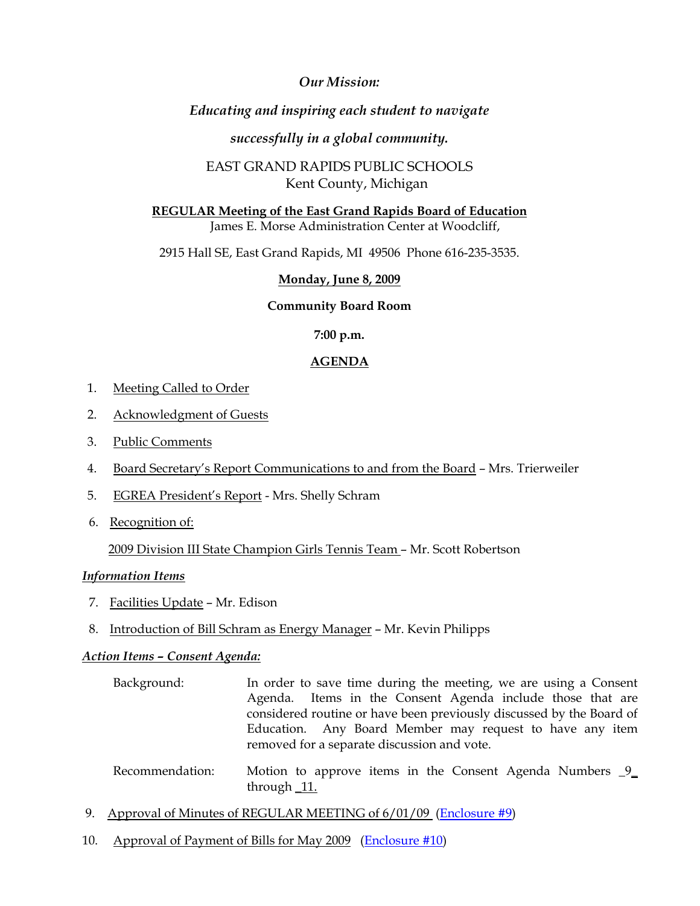## *Our Mission:*

# *Educating and inspiring each student to navigate*

## *successfully in a global community.*

# EAST GRAND RAPIDS PUBLIC SCHOOLS Kent County, Michigan

## **REGULAR Meeting of the East Grand Rapids Board of Education** James E. Morse Administration Center at Woodcliff,

2915 Hall SE, East Grand Rapids, MI 49506 Phone 616-235-3535.

## **Monday, June 8, 2009**

### **Community Board Room**

### **7:00 p.m.**

### **AGENDA**

- 1. Meeting Called to Order
- 2. Acknowledgment of Guests
- 3. Public Comments
- 4. Board Secretary's Report Communications to and from the Board Mrs. Trierweiler
- 5. EGREA President's Report Mrs. Shelly Schram
- 6. Recognition of:

2009 Division III State Champion Girls Tennis Team – Mr. Scott Robertson

### *Information Items*

- 7. Facilities Update Mr. Edison
- 8. Introduction of Bill Schram as Energy Manager Mr. Kevin Philipps

#### *Action Items – Consent Agenda:*

- Background: In order to save time during the meeting, we are using a Consent Agenda. Items in the Consent Agenda include those that are considered routine or have been previously discussed by the Board of Education. Any Board Member may request to have any item removed for a separate discussion and vote.
- Recommendation: Motion to approve items in the Consent Agenda Numbers \_9\_ through \_11.
- 9. Approval of Minutes of REGULAR MEETING of 6/01/09 ([Enclosure #9\)](http://www.egrps.org/district/boardofed/Enclosures/060809/Enc9.pdf)
- 10. Approval of Payment of Bills for May 2009 ([Enclosure #10](http://www.egrps.org/district/boardofed/Enclosures/060809/Enc10.pdf))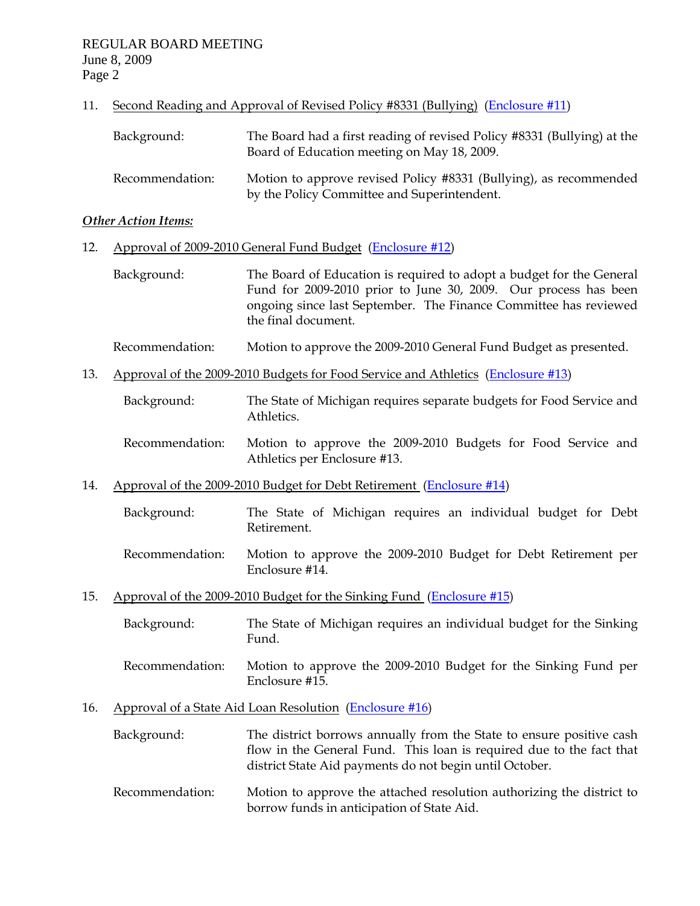### 11. Second Reading and Approval of Revised Policy #8331 (Bullying) [\(Enclosure #11\)](http://www.egrps.org/district/boardofed/Enclosures/060809/Enc11.pdf)

| Background:     | The Board had a first reading of revised Policy #8331 (Bullying) at the<br>Board of Education meeting on May 18, 2009. |
|-----------------|------------------------------------------------------------------------------------------------------------------------|
| Recommendation: | Motion to approve revised Policy #8331 (Bullying), as recommended<br>by the Policy Committee and Superintendent.       |

#### *Other Action Items:*

### 12. Approval of 2009-2010 General Fund Budget ([Enclosure #12](http://www.egrps.org/district/boardofed/Enclosures/060809/Enc12-15.pdf))

 Background: The Board of Education is required to adopt a budget for the General Fund for 2009-2010 prior to June 30, 2009. Our process has been ongoing since last September. The Finance Committee has reviewed the final document.

### Recommendation: Motion to approve the 2009-2010 General Fund Budget as presented.

- 13. Approval of the 2009-2010 Budgets for Food Service and Athletics [\(Enclosure #13\)](http://www.egrps.org/district/boardofed/Enclosures/060809/Enc12-15.pdf)
	- Background: The State of Michigan requires separate budgets for Food Service and Athletics.
	- Recommendation: Motion to approve the 2009-2010 Budgets for Food Service and Athletics per Enclosure #13.
- 14. Approval of the 2009-2010 Budget for Debt Retirement ([Enclosure #14](http://www.egrps.org/district/boardofed/Enclosures/060809/Enc12-15.pdf))
	- Background: The State of Michigan requires an individual budget for Debt Retirement.
	- Recommendation: Motion to approve the 2009-2010 Budget for Debt Retirement per Enclosure #14.
- 15. Approval of the 2009-2010 Budget for the Sinking Fund [\(Enclosure #15\)](http://www.egrps.org/district/boardofed/Enclosures/060809/Enc12-15.pdf)

| Background: | The State of Michigan requires an individual budget for the Sinking |
|-------------|---------------------------------------------------------------------|
|             | Fund.                                                               |

 Recommendation: Motion to approve the 2009-2010 Budget for the Sinking Fund per Enclosure #15.

### 16. Approval of a State Aid Loan Resolution ([Enclosure #16](http://www.egrps.org/district/boardofed/Enclosures/060809/Enc16.pdf))

| Background: | The district borrows annually from the State to ensure positive cash |
|-------------|----------------------------------------------------------------------|
|             | flow in the General Fund. This loan is required due to the fact that |
|             | district State Aid payments do not begin until October.              |
|             |                                                                      |

 Recommendation: Motion to approve the attached resolution authorizing the district to borrow funds in anticipation of State Aid.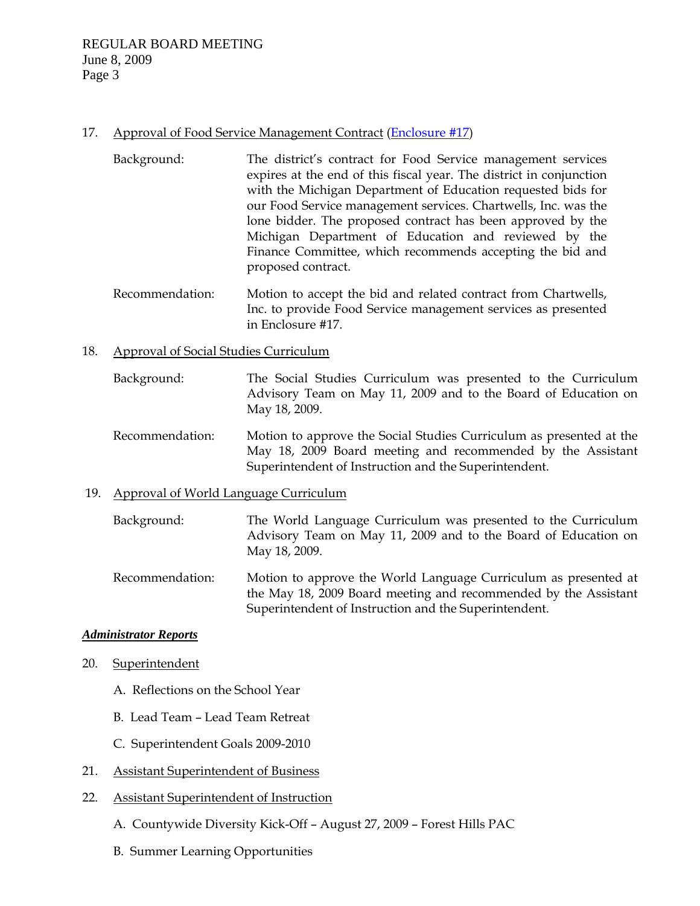### 17. Approval of Food Service Management Contract ([Enclosure #17](http://www.egrps.org/district/boardofed/Enclosures/060809/Enc17.pdf))

- Background: The district's contract for Food Service management services expires at the end of this fiscal year. The district in conjunction with the Michigan Department of Education requested bids for our Food Service management services. Chartwells, Inc. was the lone bidder. The proposed contract has been approved by the Michigan Department of Education and reviewed by the Finance Committee, which recommends accepting the bid and proposed contract.
- Recommendation: Motion to accept the bid and related contract from Chartwells, Inc. to provide Food Service management services as presented in Enclosure #17.

### 18. Approval of Social Studies Curriculum

- Background: The Social Studies Curriculum was presented to the Curriculum Advisory Team on May 11, 2009 and to the Board of Education on May 18, 2009.
- Recommendation: Motion to approve the Social Studies Curriculum as presented at the May 18, 2009 Board meeting and recommended by the Assistant Superintendent of Instruction and the Superintendent.

### 19. Approval of World Language Curriculum

- Background: The World Language Curriculum was presented to the Curriculum Advisory Team on May 11, 2009 and to the Board of Education on May 18, 2009.
- Recommendation: Motion to approve the World Language Curriculum as presented at the May 18, 2009 Board meeting and recommended by the Assistant Superintendent of Instruction and the Superintendent.

#### *Administrator Reports*

- 20. Superintendent
	- A. Reflections on the School Year
	- B. Lead Team Lead Team Retreat
	- C. Superintendent Goals 2009-2010
- 21. Assistant Superintendent of Business
- 22. Assistant Superintendent of Instruction
	- A. Countywide Diversity Kick-Off August 27, 2009 Forest Hills PAC
	- B. Summer Learning Opportunities